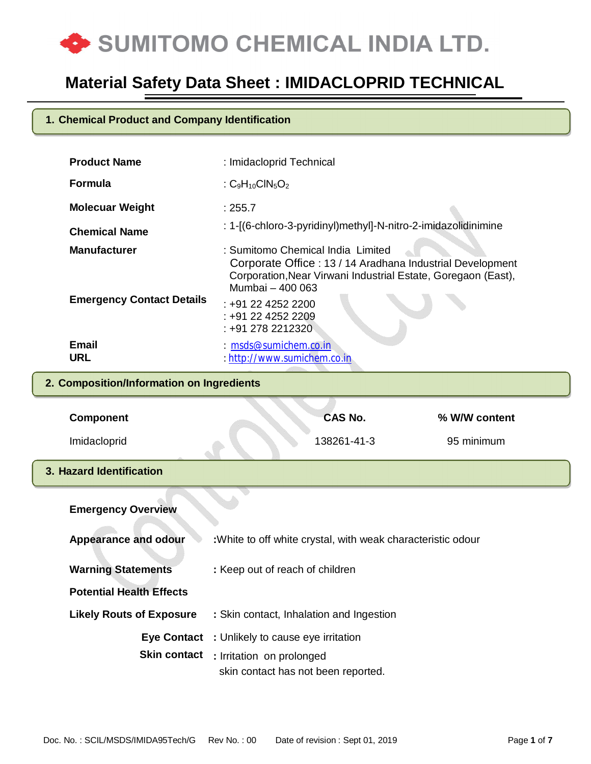

### **1. Chemical Product and Company Identification**

| <b>Product Name</b>              | : Imidacloprid Technical                                                                                                                                                            |
|----------------------------------|-------------------------------------------------------------------------------------------------------------------------------------------------------------------------------------|
| <b>Formula</b>                   | : $C_9H_{10}CIN_5O_2$                                                                                                                                                               |
| <b>Molecuar Weight</b>           | : 255.7                                                                                                                                                                             |
| <b>Chemical Name</b>             | : 1-[(6-chloro-3-pyridinyl)methyl]-N-nitro-2-imidazolidinimine                                                                                                                      |
| <b>Manufacturer</b>              | : Sumitomo Chemical India Limited<br>Corporate Office: 13 / 14 Aradhana Industrial Development<br>Corporation, Near Virwani Industrial Estate, Goregaon (East),<br>Mumbai - 400 063 |
| <b>Emergency Contact Details</b> | $: +912242522200$<br>: +91 22 4252 2209<br>: +91 278 2212320                                                                                                                        |
| Email<br>URL                     | $: m$ sds@sumichem.co.in<br>: http://www.sumichem.co.in                                                                                                                             |

### **2. Composition/Information on Ingredients**

| <b>Component</b>                | CAS No.                                                                                                                                | % W/W content |
|---------------------------------|----------------------------------------------------------------------------------------------------------------------------------------|---------------|
| Imidacloprid                    | 138261-41-3                                                                                                                            | 95 minimum    |
| 3. Hazard Identification        |                                                                                                                                        |               |
| <b>Emergency Overview</b>       |                                                                                                                                        |               |
| <b>Appearance and odour</b>     | : White to off white crystal, with weak characteristic odour                                                                           |               |
| <b>Warning Statements</b>       | : Keep out of reach of children                                                                                                        |               |
| <b>Potential Health Effects</b> |                                                                                                                                        |               |
| <b>Likely Routs of Exposure</b> | : Skin contact, Inhalation and Ingestion                                                                                               |               |
|                                 | Eye Contact : Unlikely to cause eye irritation<br><b>Skin contact</b> : Irritation on prolonged<br>skin contact has not been reported. |               |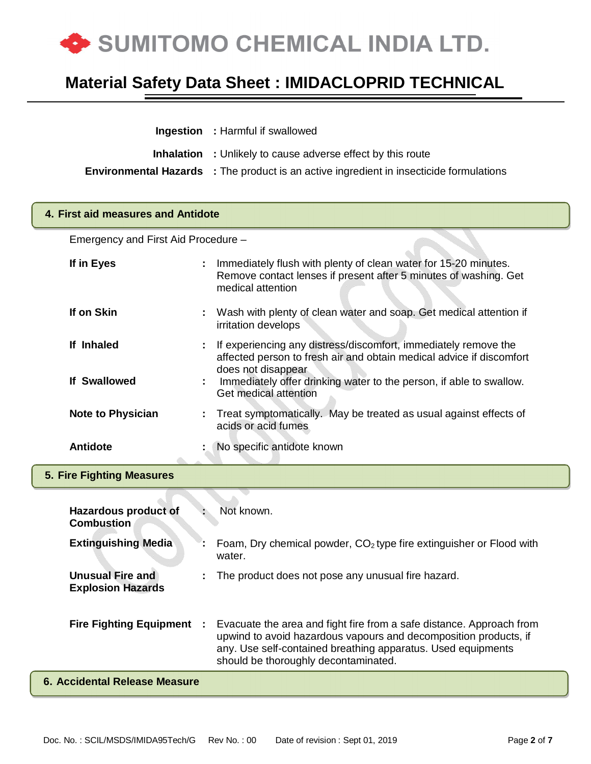

| <b>Ingestion</b> : Harmful if swallowed                                                        |
|------------------------------------------------------------------------------------------------|
| <b>Inhalation</b> : Unlikely to cause adverse effect by this route                             |
| <b>Environmental Hazards</b> : The product is an active ingredient in insecticide formulations |

#### **4. First aid measures and Antidote**

Emergency and First Aid Procedure –

| If in Eyes                                          |    | Immediately flush with plenty of clean water for 15-20 minutes.<br>Remove contact lenses if present after 5 minutes of washing. Get<br>medical attention                                                                                         |
|-----------------------------------------------------|----|--------------------------------------------------------------------------------------------------------------------------------------------------------------------------------------------------------------------------------------------------|
| If on Skin                                          |    | Wash with plenty of clean water and soap. Get medical attention if<br>irritation develops                                                                                                                                                        |
| If Inhaled                                          |    | If experiencing any distress/discomfort, immediately remove the<br>affected person to fresh air and obtain medical advice if discomfort                                                                                                          |
| <b>If Swallowed</b>                                 |    | does not disappear<br>Immediately offer drinking water to the person, if able to swallow.<br>Get medical attention                                                                                                                               |
| <b>Note to Physician</b>                            | ÷. | Treat symptomatically. May be treated as usual against effects of<br>acids or acid fumes                                                                                                                                                         |
| <b>Antidote</b>                                     |    | No specific antidote known                                                                                                                                                                                                                       |
| <b>5. Fire Fighting Measures</b>                    |    |                                                                                                                                                                                                                                                  |
|                                                     |    |                                                                                                                                                                                                                                                  |
| <b>Hazardous product of</b><br><b>Combustion</b>    |    | Not known.                                                                                                                                                                                                                                       |
| <b>Extinguishing Media</b>                          |    | Foam, Dry chemical powder, $CO2$ type fire extinguisher or Flood with<br>water.                                                                                                                                                                  |
| <b>Unusual Fire and</b><br><b>Explosion Hazards</b> |    | The product does not pose any unusual fire hazard.                                                                                                                                                                                               |
| <b>Fire Fighting Equipment :</b>                    |    | Evacuate the area and fight fire from a safe distance. Approach from<br>upwind to avoid hazardous vapours and decomposition products, if<br>any. Use self-contained breathing apparatus. Used equipments<br>should be thoroughly decontaminated. |
| <b>6. Accidental Release Measure</b>                |    |                                                                                                                                                                                                                                                  |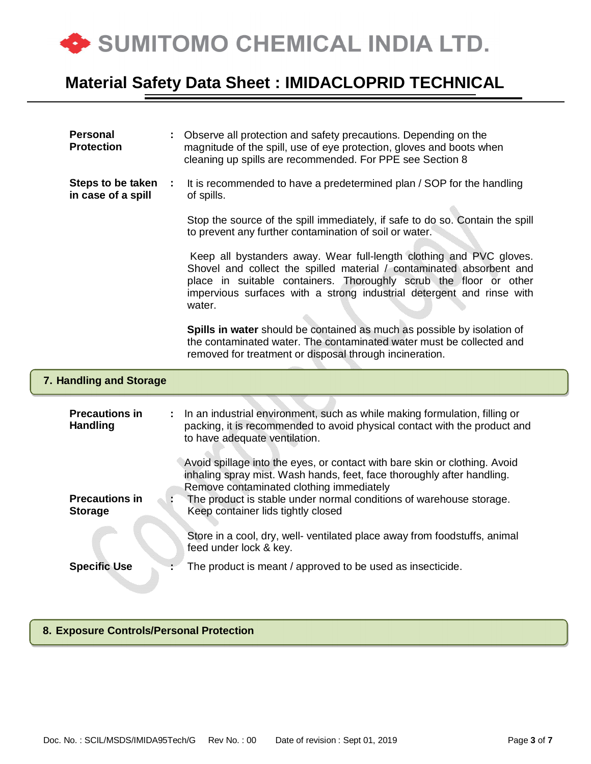

| <b>Personal</b><br><b>Protection</b>     |   | Observe all protection and safety precautions. Depending on the<br>magnitude of the spill, use of eye protection, gloves and boots when<br>cleaning up spills are recommended. For PPE see Section 8                                                                                                          |
|------------------------------------------|---|---------------------------------------------------------------------------------------------------------------------------------------------------------------------------------------------------------------------------------------------------------------------------------------------------------------|
| Steps to be taken<br>in case of a spill  | ÷ | It is recommended to have a predetermined plan / SOP for the handling<br>of spills.                                                                                                                                                                                                                           |
|                                          |   | Stop the source of the spill immediately, if safe to do so. Contain the spill<br>to prevent any further contamination of soil or water.                                                                                                                                                                       |
|                                          |   | Keep all bystanders away. Wear full-length clothing and PVC gloves.<br>Shovel and collect the spilled material / contaminated absorbent and<br>place in suitable containers. Thoroughly scrub the floor or other<br>impervious surfaces with a strong industrial detergent and rinse with<br>water.           |
|                                          |   | Spills in water should be contained as much as possible by isolation of<br>the contaminated water. The contaminated water must be collected and<br>removed for treatment or disposal through incineration.                                                                                                    |
| 7. Handling and Storage                  |   |                                                                                                                                                                                                                                                                                                               |
| <b>Precautions in</b><br><b>Handling</b> |   | In an industrial environment, such as while making formulation, filling or<br>packing, it is recommended to avoid physical contact with the product and<br>to have adequate ventilation.                                                                                                                      |
| <b>Precautions in</b><br><b>Storage</b>  |   | Avoid spillage into the eyes, or contact with bare skin or clothing. Avoid<br>inhaling spray mist. Wash hands, feet, face thoroughly after handling.<br>Remove contaminated clothing immediately<br>The product is stable under normal conditions of warehouse storage.<br>Keep container lids tightly closed |
|                                          |   | Store in a cool, dry, well- ventilated place away from foodstuffs, animal<br>feed under lock & key.                                                                                                                                                                                                           |
| <b>Specific Use</b>                      |   | The product is meant / approved to be used as insecticide.                                                                                                                                                                                                                                                    |

#### **8. Exposure Controls/Personal Protection**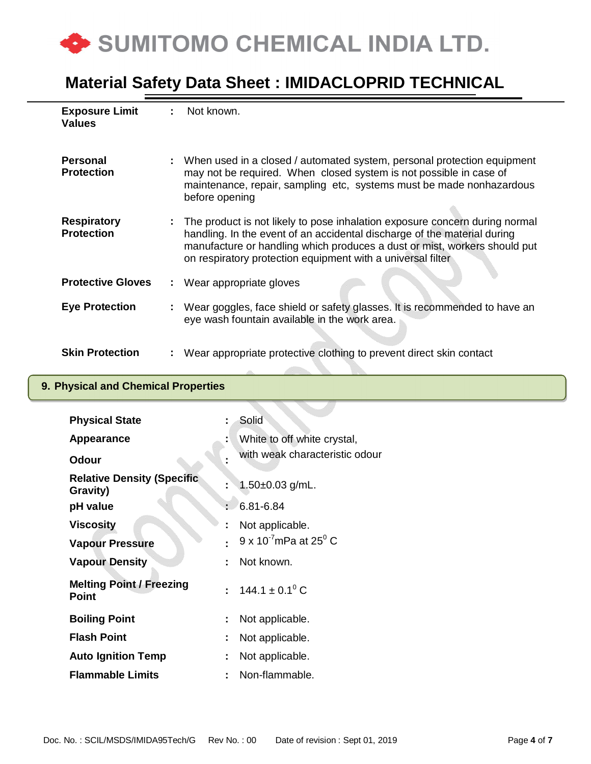

| <b>Exposure Limit</b><br><b>Values</b>  | ÷. | Not known.                                                                                                                                                                                                                                                                                          |
|-----------------------------------------|----|-----------------------------------------------------------------------------------------------------------------------------------------------------------------------------------------------------------------------------------------------------------------------------------------------------|
| <b>Personal</b><br><b>Protection</b>    |    | : When used in a closed / automated system, personal protection equipment<br>may not be required. When closed system is not possible in case of<br>maintenance, repair, sampling etc, systems must be made nonhazardous<br>before opening                                                           |
| <b>Respiratory</b><br><b>Protection</b> |    | The product is not likely to pose inhalation exposure concern during normal<br>handling. In the event of an accidental discharge of the material during<br>manufacture or handling which produces a dust or mist, workers should put<br>on respiratory protection equipment with a universal filter |
| <b>Protective Gloves</b>                |    | Wear appropriate gloves                                                                                                                                                                                                                                                                             |
| <b>Eye Protection</b>                   |    | Wear goggles, face shield or safety glasses. It is recommended to have an<br>eye wash fountain available in the work area.                                                                                                                                                                          |
| <b>Skin Protection</b>                  |    | Wear appropriate protective clothing to prevent direct skin contact                                                                                                                                                                                                                                 |

### **9. Physical and Chemical Properties**

| <b>Physical State</b>                           |   | Solid                                     |
|-------------------------------------------------|---|-------------------------------------------|
| <b>Appearance</b>                               |   | White to off white crystal,               |
| <b>Odour</b>                                    |   | with weak characteristic odour            |
| <b>Relative Density (Specific)</b><br>Gravity)  |   | 1.50 $\pm$ 0.03 g/mL.                     |
| pH value                                        |   | $6.81 - 6.84$                             |
| <b>Viscosity</b>                                |   | Not applicable.                           |
| <b>Vapour Pressure</b>                          |   | $9 \times 10^{-7}$ mPa at 25 $^{\circ}$ C |
| <b>Vapour Density</b>                           |   | Not known.                                |
| <b>Melting Point / Freezing</b><br><b>Point</b> |   | : $144.1 \pm 0.1^{\circ}$ C               |
| <b>Boiling Point</b>                            | ÷ | Not applicable.                           |
| <b>Flash Point</b>                              | ÷ | Not applicable.                           |
| <b>Auto Ignition Temp</b>                       | ÷ | Not applicable.                           |
| <b>Flammable Limits</b>                         |   | Non-flammable.                            |
|                                                 |   |                                           |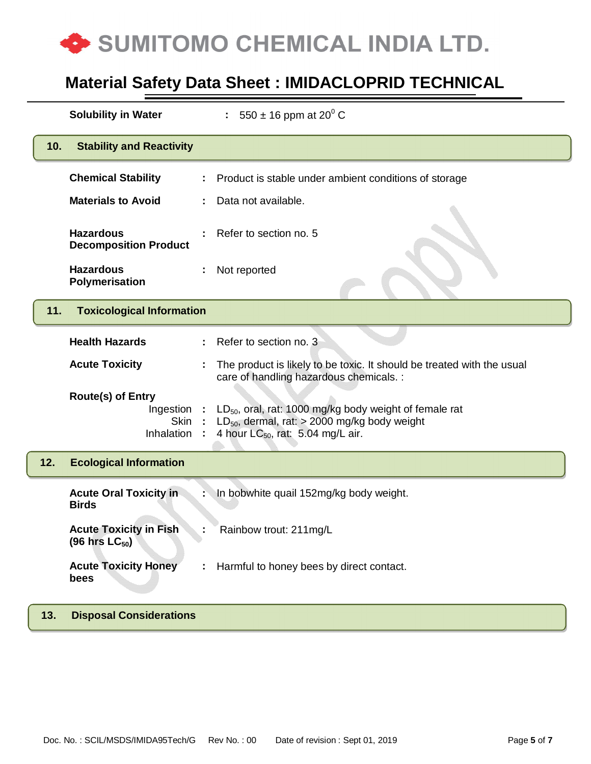

|     | <b>Solubility in Water</b>                                            |    | : 550 $\pm$ 16 ppm at 20 <sup>0</sup> C                                                                                                                           |
|-----|-----------------------------------------------------------------------|----|-------------------------------------------------------------------------------------------------------------------------------------------------------------------|
| 10. | <b>Stability and Reactivity</b>                                       |    |                                                                                                                                                                   |
|     | <b>Chemical Stability</b>                                             |    | Product is stable under ambient conditions of storage                                                                                                             |
|     | <b>Materials to Avoid</b>                                             |    | Data not available.                                                                                                                                               |
|     | <b>Hazardous</b><br><b>Decomposition Product</b>                      |    | Refer to section no. 5                                                                                                                                            |
|     | <b>Hazardous</b><br>Polymerisation                                    |    | Not reported                                                                                                                                                      |
| 11. | <b>Toxicological Information</b>                                      |    |                                                                                                                                                                   |
|     | <b>Health Hazards</b>                                                 | ÷. | Refer to section no. 3                                                                                                                                            |
|     | <b>Acute Toxicity</b>                                                 |    | The product is likely to be toxic. It should be treated with the usual<br>care of handling hazardous chemicals. :                                                 |
|     | <b>Route(s) of Entry</b><br>Ingestion :<br>Skin:<br><b>Inhalation</b> |    | LD <sub>50</sub> , oral, rat: 1000 mg/kg body weight of female rat<br>$LD_{50}$ , dermal, rat: > 2000 mg/kg body weight<br>4 hour $LC_{50}$ , rat: 5.04 mg/L air. |
| 12. | <b>Ecological Information</b>                                         |    |                                                                                                                                                                   |
|     | <b>Acute Oral Toxicity in</b><br><b>Birds</b>                         |    | In bobwhite quail 152mg/kg body weight.                                                                                                                           |
|     | <b>Acute Toxicity in Fish</b><br>$(96$ hrs $LC_{50}$ )                |    | Rainbow trout: 211mg/L                                                                                                                                            |
|     | <b>Acute Toxicity Honey</b><br>bees                                   | t. | Harmful to honey bees by direct contact.                                                                                                                          |
| 13. | <b>Disposal Considerations</b>                                        |    |                                                                                                                                                                   |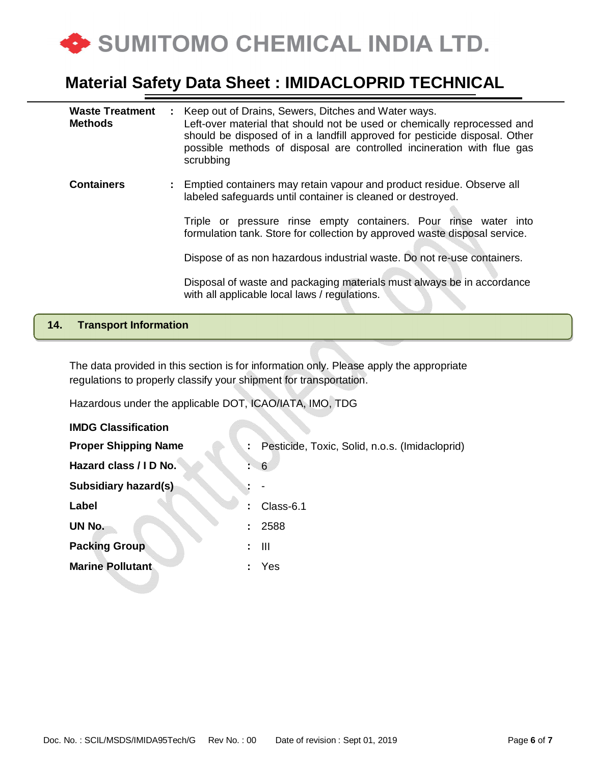

| <b>Waste Treatment</b><br><b>Methods</b> |    | : Keep out of Drains, Sewers, Ditches and Water ways.<br>Left-over material that should not be used or chemically reprocessed and<br>should be disposed of in a landfill approved for pesticide disposal. Other<br>possible methods of disposal are controlled incineration with flue gas<br>scrubbing |
|------------------------------------------|----|--------------------------------------------------------------------------------------------------------------------------------------------------------------------------------------------------------------------------------------------------------------------------------------------------------|
| <b>Containers</b>                        | ÷. | Emptied containers may retain vapour and product residue. Observe all<br>labeled safeguards until container is cleaned or destroyed.                                                                                                                                                                   |
|                                          |    | Triple or pressure rinse empty containers. Pour rinse water into<br>formulation tank. Store for collection by approved waste disposal service.                                                                                                                                                         |
|                                          |    | Dispose of as non hazardous industrial waste. Do not re-use containers.                                                                                                                                                                                                                                |
|                                          |    | Disposal of waste and packaging materials must always be in accordance<br>with all applicable local laws / regulations.                                                                                                                                                                                |

#### **14. Transport Information**

The data provided in this section is for information only. Please apply the appropriate regulations to properly classify your shipment for transportation.

Hazardous under the applicable DOT, ICAO/IATA, IMO, TDG

| <b>IMDG Classification</b>  |                                                |
|-----------------------------|------------------------------------------------|
| <b>Proper Shipping Name</b> | Pesticide, Toxic, Solid, n.o.s. (Imidacloprid) |
| Hazard class / I D No.      | 6                                              |
| Subsidiary hazard(s)        |                                                |
| Label                       | Class-6.1                                      |
| UN No.<br>÷.                | 2588                                           |
| <b>Packing Group</b><br>÷.  | $\mathbf{III}$                                 |
| <b>Marine Pollutant</b>     | Yes                                            |
|                             |                                                |